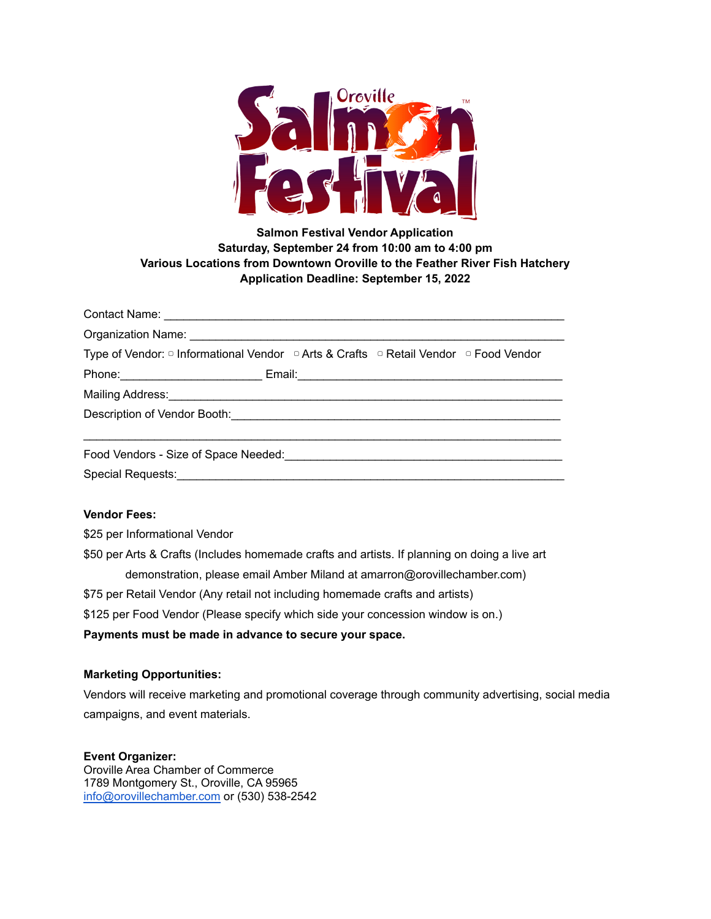

# **Salmon Festival Vendor Application Saturday, September 24 from 10:00 am to 4:00 pm Various Locations from Downtown Oroville to the Feather River Fish Hatchery Application Deadline: September 15, 2022**

| Type of Vendor: □ Informational Vendor □ Arts & Crafts □ Retail Vendor □ Food Vendor                                                                                                                                           |  |
|--------------------------------------------------------------------------------------------------------------------------------------------------------------------------------------------------------------------------------|--|
|                                                                                                                                                                                                                                |  |
|                                                                                                                                                                                                                                |  |
|                                                                                                                                                                                                                                |  |
|                                                                                                                                                                                                                                |  |
| Food Vendors - Size of Space Needed: New York Change and Separate Separate Separate Separate Separate Separate Separate Separate Separate Separate Separate Separate Separate Separate Separate Separate Separate Separate Sep |  |
| Special Requests:                                                                                                                                                                                                              |  |

#### **Vendor Fees:**

\$25 per Informational Vendor

\$50 per Arts & Crafts (Includes homemade crafts and artists. If planning on doing a live art demonstration, please email Amber Miland at amarron@orovillechamber.com) \$75 per Retail Vendor (Any retail not including homemade crafts and artists) \$125 per Food Vendor (Please specify which side your concession window is on.)

## **Payments must be made in advance to secure your space.**

#### **Marketing Opportunities:**

Vendors will receive marketing and promotional coverage through community advertising, social media campaigns, and event materials.

#### **Event Organizer:**

Oroville Area Chamber of Commerce 1789 Montgomery St., Oroville, CA 95965 [info@orovillechamber.com](mailto:info@orovillechamber.com) or (530) 538-2542